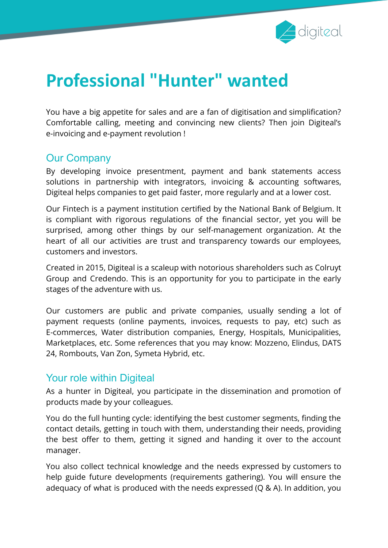

# **Professional "Hunter" wanted**

You have a big appetite for sales and are a fan of digitisation and simplification? Comfortable calling, meeting and convincing new clients? Then join Digiteal's e-invoicing and e-payment revolution !

### Our Company

By developing invoice presentment, payment and bank statements access solutions in partnership with integrators, invoicing & accounting softwares, Digiteal helps companies to get paid faster, more regularly and at a lower cost.

Our Fintech is a payment institution certified by the National Bank of Belgium. It is compliant with rigorous regulations of the financial sector, yet you will be surprised, among other things by our self-management organization. At the heart of all our activities are trust and transparency towards our employees, customers and investors.

Created in 2015, Digiteal is a scaleup with notorious shareholders such as Colruyt Group and Credendo. This is an opportunity for you to participate in the early stages of the adventure with us.

Our customers are public and private companies, usually sending a lot of payment requests (online payments, invoices, requests to pay, etc) such as E-commerces, Water distribution companies, Energy, Hospitals, Municipalities, Marketplaces, etc. Some references that you may know: Mozzeno, Elindus, DATS 24, Rombouts, Van Zon, Symeta Hybrid, etc.

#### Your role within Digiteal

As a hunter in Digiteal, you participate in the dissemination and promotion of products made by your colleagues.

You do the full hunting cycle: identifying the best customer segments, finding the contact details, getting in touch with them, understanding their needs, providing the best offer to them, getting it signed and handing it over to the account manager.

You also collect technical knowledge and the needs expressed by customers to help guide future developments (requirements gathering). You will ensure the adequacy of what is produced with the needs expressed (Q & A). In addition, you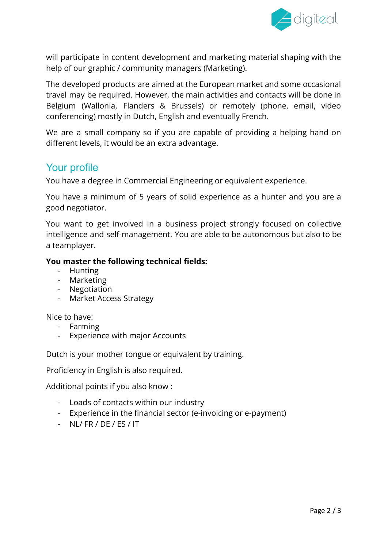

will participate in content development and marketing material shaping with the help of our graphic / community managers (Marketing).

The developed products are aimed at the European market and some occasional travel may be required. However, the main activities and contacts will be done in Belgium (Wallonia, Flanders & Brussels) or remotely (phone, email, video conferencing) mostly in Dutch, English and eventually French.

We are a small company so if you are capable of providing a helping hand on different levels, it would be an extra advantage.

#### Your profile

You have a degree in Commercial Engineering or equivalent experience.

You have a minimum of 5 years of solid experience as a hunter and you are a good negotiator.

You want to get involved in a business project strongly focused on collective intelligence and self-management. You are able to be autonomous but also to be a teamplayer.

#### **You master the following technical fields:**

- Hunting
- Marketing
- Negotiation
- Market Access Strategy

Nice to have:

- Farming
- Experience with major Accounts

Dutch is your mother tongue or equivalent by training.

Proficiency in English is also required.

Additional points if you also know :

- Loads of contacts within our industry
- Experience in the financial sector (e-invoicing or e-payment)
- NL/ FR / DE / ES / IT